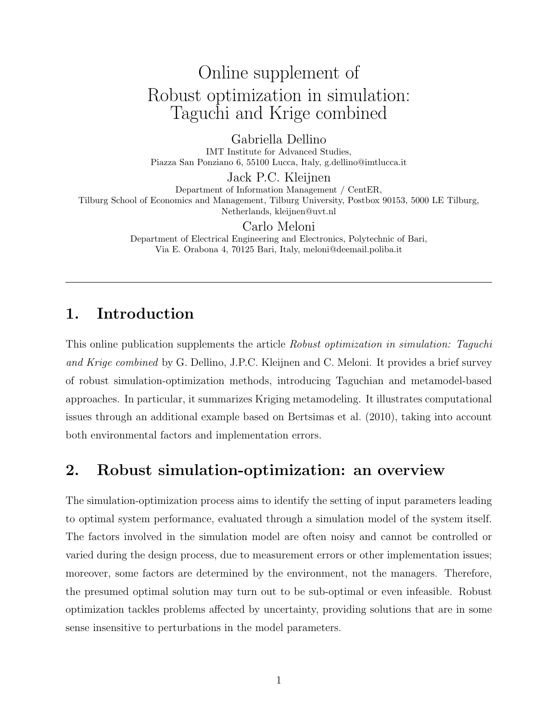# Online supplement of Robust optimization in simulation: Taguchi and Krige combined

Gabriella Dellino IMT Institute for Advanced Studies, Piazza San Ponziano 6, 55100 Lucca, Italy, g.dellino@imtlucca.it

Jack P.C. Kleijnen Department of Information Management / CentER, Tilburg School of Economics and Management, Tilburg University, Postbox 90153, 5000 LE Tilburg, Netherlands, kleijnen@uvt.nl

> Carlo Meloni Department of Electrical Engineering and Electronics, Polytechnic of Bari,

Via E. Orabona 4, 70125 Bari, Italy, meloni@deemail.poliba.it

# 1. Introduction

This online publication supplements the article Robust optimization in simulation: Taguchi and Krige combined by G. Dellino, J.P.C. Kleijnen and C. Meloni. It provides a brief survey of robust simulation-optimization methods, introducing Taguchian and metamodel-based approaches. In particular, it summarizes Kriging metamodeling. It illustrates computational issues through an additional example based on Bertsimas et al. (2010), taking into account both environmental factors and implementation errors.

# 2. Robust simulation-optimization: an overview

The simulation-optimization process aims to identify the setting of input parameters leading to optimal system performance, evaluated through a simulation model of the system itself. The factors involved in the simulation model are often noisy and cannot be controlled or varied during the design process, due to measurement errors or other implementation issues; moreover, some factors are determined by the environment, not the managers. Therefore, the presumed optimal solution may turn out to be sub-optimal or even infeasible. Robust optimization tackles problems affected by uncertainty, providing solutions that are in some sense insensitive to perturbations in the model parameters.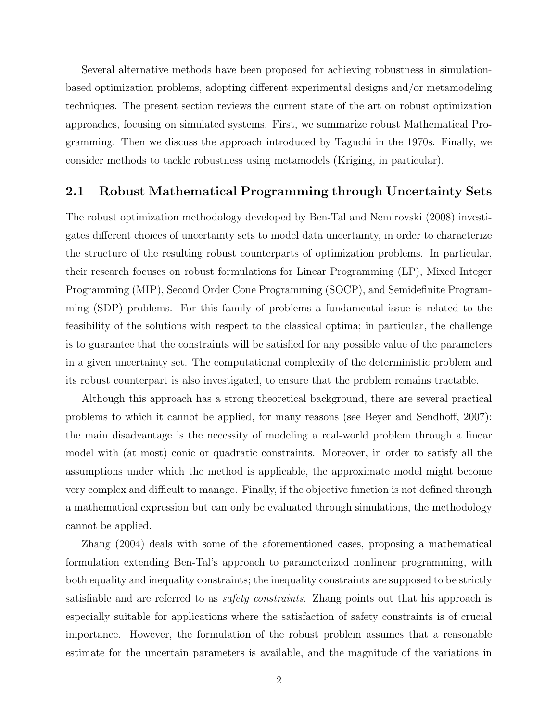Several alternative methods have been proposed for achieving robustness in simulationbased optimization problems, adopting different experimental designs and/or metamodeling techniques. The present section reviews the current state of the art on robust optimization approaches, focusing on simulated systems. First, we summarize robust Mathematical Programming. Then we discuss the approach introduced by Taguchi in the 1970s. Finally, we consider methods to tackle robustness using metamodels (Kriging, in particular).

#### 2.1 Robust Mathematical Programming through Uncertainty Sets

The robust optimization methodology developed by Ben-Tal and Nemirovski (2008) investigates different choices of uncertainty sets to model data uncertainty, in order to characterize the structure of the resulting robust counterparts of optimization problems. In particular, their research focuses on robust formulations for Linear Programming (LP), Mixed Integer Programming (MIP), Second Order Cone Programming (SOCP), and Semidefinite Programming (SDP) problems. For this family of problems a fundamental issue is related to the feasibility of the solutions with respect to the classical optima; in particular, the challenge is to guarantee that the constraints will be satisfied for any possible value of the parameters in a given uncertainty set. The computational complexity of the deterministic problem and its robust counterpart is also investigated, to ensure that the problem remains tractable.

Although this approach has a strong theoretical background, there are several practical problems to which it cannot be applied, for many reasons (see Beyer and Sendhoff, 2007): the main disadvantage is the necessity of modeling a real-world problem through a linear model with (at most) conic or quadratic constraints. Moreover, in order to satisfy all the assumptions under which the method is applicable, the approximate model might become very complex and difficult to manage. Finally, if the objective function is not defined through a mathematical expression but can only be evaluated through simulations, the methodology cannot be applied.

Zhang (2004) deals with some of the aforementioned cases, proposing a mathematical formulation extending Ben-Tal's approach to parameterized nonlinear programming, with both equality and inequality constraints; the inequality constraints are supposed to be strictly satisfiable and are referred to as *safety constraints*. Zhang points out that his approach is especially suitable for applications where the satisfaction of safety constraints is of crucial importance. However, the formulation of the robust problem assumes that a reasonable estimate for the uncertain parameters is available, and the magnitude of the variations in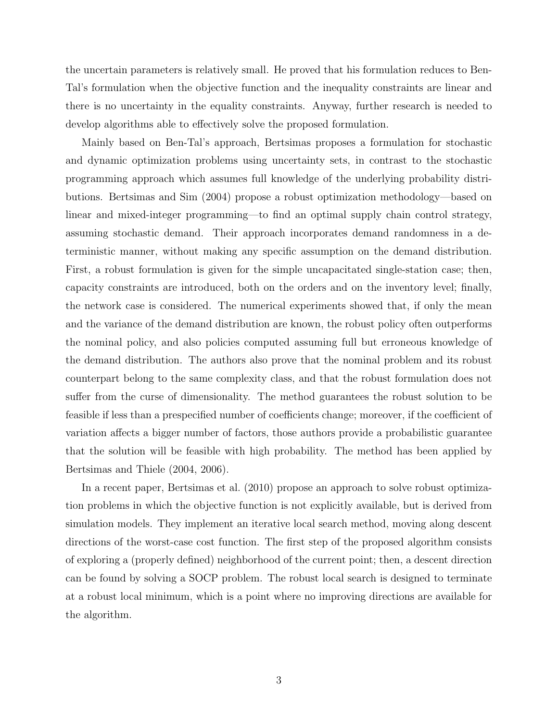the uncertain parameters is relatively small. He proved that his formulation reduces to Ben-Tal's formulation when the objective function and the inequality constraints are linear and there is no uncertainty in the equality constraints. Anyway, further research is needed to develop algorithms able to effectively solve the proposed formulation.

Mainly based on Ben-Tal's approach, Bertsimas proposes a formulation for stochastic and dynamic optimization problems using uncertainty sets, in contrast to the stochastic programming approach which assumes full knowledge of the underlying probability distributions. Bertsimas and Sim (2004) propose a robust optimization methodology—based on linear and mixed-integer programming—to find an optimal supply chain control strategy, assuming stochastic demand. Their approach incorporates demand randomness in a deterministic manner, without making any specific assumption on the demand distribution. First, a robust formulation is given for the simple uncapacitated single-station case; then, capacity constraints are introduced, both on the orders and on the inventory level; finally, the network case is considered. The numerical experiments showed that, if only the mean and the variance of the demand distribution are known, the robust policy often outperforms the nominal policy, and also policies computed assuming full but erroneous knowledge of the demand distribution. The authors also prove that the nominal problem and its robust counterpart belong to the same complexity class, and that the robust formulation does not suffer from the curse of dimensionality. The method guarantees the robust solution to be feasible if less than a prespecified number of coefficients change; moreover, if the coefficient of variation affects a bigger number of factors, those authors provide a probabilistic guarantee that the solution will be feasible with high probability. The method has been applied by Bertsimas and Thiele (2004, 2006).

In a recent paper, Bertsimas et al. (2010) propose an approach to solve robust optimization problems in which the objective function is not explicitly available, but is derived from simulation models. They implement an iterative local search method, moving along descent directions of the worst-case cost function. The first step of the proposed algorithm consists of exploring a (properly defined) neighborhood of the current point; then, a descent direction can be found by solving a SOCP problem. The robust local search is designed to terminate at a robust local minimum, which is a point where no improving directions are available for the algorithm.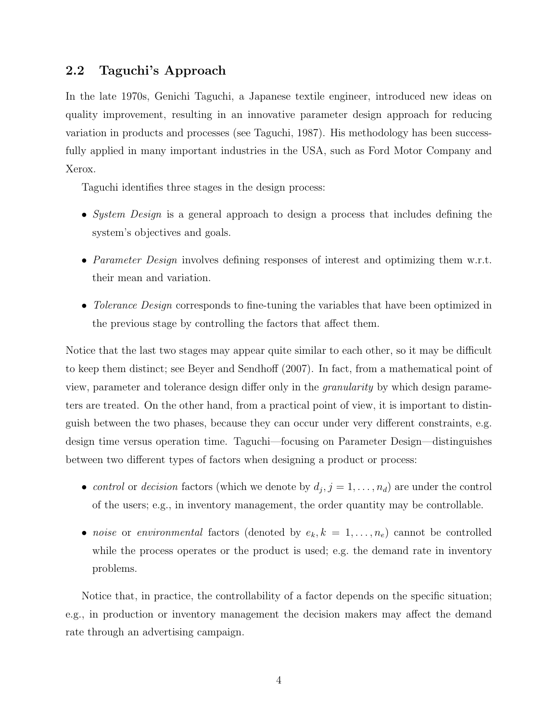#### 2.2 Taguchi's Approach

In the late 1970s, Genichi Taguchi, a Japanese textile engineer, introduced new ideas on quality improvement, resulting in an innovative parameter design approach for reducing variation in products and processes (see Taguchi, 1987). His methodology has been successfully applied in many important industries in the USA, such as Ford Motor Company and Xerox.

Taguchi identifies three stages in the design process:

- System Design is a general approach to design a process that includes defining the system's objectives and goals.
- *Parameter Design* involves defining responses of interest and optimizing them w.r.t. their mean and variation.
- Tolerance Design corresponds to fine-tuning the variables that have been optimized in the previous stage by controlling the factors that affect them.

Notice that the last two stages may appear quite similar to each other, so it may be difficult to keep them distinct; see Beyer and Sendhoff (2007). In fact, from a mathematical point of view, parameter and tolerance design differ only in the granularity by which design parameters are treated. On the other hand, from a practical point of view, it is important to distinguish between the two phases, because they can occur under very different constraints, e.g. design time versus operation time. Taguchi—focusing on Parameter Design—distinguishes between two different types of factors when designing a product or process:

- control or decision factors (which we denote by  $d_j$ ,  $j = 1, \ldots, n_d$ ) are under the control of the users; e.g., in inventory management, the order quantity may be controllable.
- noise or environmental factors (denoted by  $e_k, k = 1, \ldots, n_e$ ) cannot be controlled while the process operates or the product is used; e.g. the demand rate in inventory problems.

Notice that, in practice, the controllability of a factor depends on the specific situation; e.g., in production or inventory management the decision makers may affect the demand rate through an advertising campaign.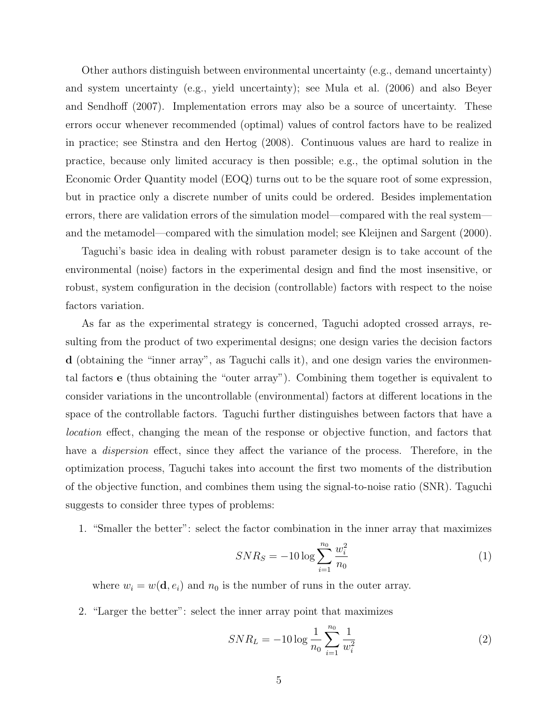Other authors distinguish between environmental uncertainty (e.g., demand uncertainty) and system uncertainty (e.g., yield uncertainty); see Mula et al. (2006) and also Beyer and Sendhoff (2007). Implementation errors may also be a source of uncertainty. These errors occur whenever recommended (optimal) values of control factors have to be realized in practice; see Stinstra and den Hertog (2008). Continuous values are hard to realize in practice, because only limited accuracy is then possible; e.g., the optimal solution in the Economic Order Quantity model (EOQ) turns out to be the square root of some expression, but in practice only a discrete number of units could be ordered. Besides implementation errors, there are validation errors of the simulation model—compared with the real system and the metamodel—compared with the simulation model; see Kleijnen and Sargent (2000).

Taguchi's basic idea in dealing with robust parameter design is to take account of the environmental (noise) factors in the experimental design and find the most insensitive, or robust, system configuration in the decision (controllable) factors with respect to the noise factors variation.

As far as the experimental strategy is concerned, Taguchi adopted crossed arrays, resulting from the product of two experimental designs; one design varies the decision factors d (obtaining the "inner array", as Taguchi calls it), and one design varies the environmental factors e (thus obtaining the "outer array"). Combining them together is equivalent to consider variations in the uncontrollable (environmental) factors at different locations in the space of the controllable factors. Taguchi further distinguishes between factors that have a location effect, changing the mean of the response or objective function, and factors that have a *dispersion* effect, since they affect the variance of the process. Therefore, in the optimization process, Taguchi takes into account the first two moments of the distribution of the objective function, and combines them using the signal-to-noise ratio (SNR). Taguchi suggests to consider three types of problems:

1. "Smaller the better": select the factor combination in the inner array that maximizes

$$
SNR_S = -10 \log \sum_{i=1}^{n_0} \frac{w_i^2}{n_0} \tag{1}
$$

where  $w_i = w(\mathbf{d}, e_i)$  and  $n_0$  is the number of runs in the outer array.

2. "Larger the better": select the inner array point that maximizes

$$
SNR_L = -10\log\frac{1}{n_0}\sum_{i=1}^{n_0}\frac{1}{w_i^2}
$$
 (2)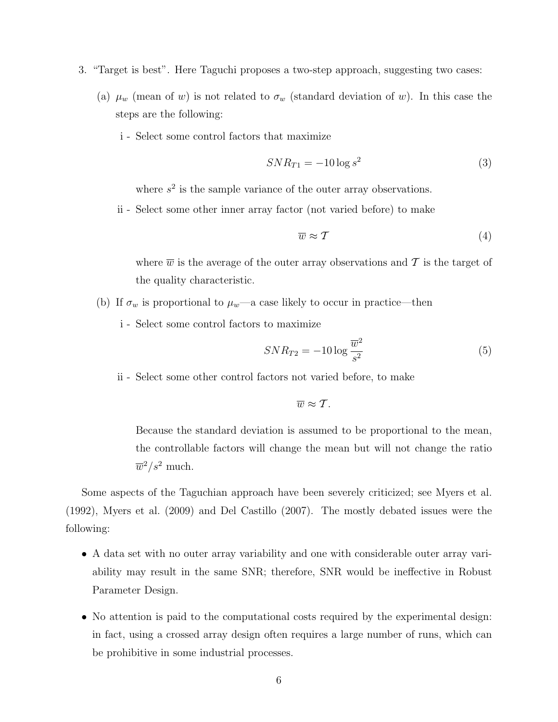- 3. "Target is best". Here Taguchi proposes a two-step approach, suggesting two cases:
	- (a)  $\mu_w$  (mean of w) is not related to  $\sigma_w$  (standard deviation of w). In this case the steps are the following:
		- i Select some control factors that maximize

$$
SNR_{T1} = -10\log s^2\tag{3}
$$

where  $s^2$  is the sample variance of the outer array observations.

ii - Select some other inner array factor (not varied before) to make

$$
\overline{w} \approx \mathcal{T} \tag{4}
$$

where  $\overline{w}$  is the average of the outer array observations and T is the target of the quality characteristic.

- (b) If  $\sigma_w$  is proportional to  $\mu_w$ —a case likely to occur in practice—then
	- i Select some control factors to maximize

$$
SNR_{T2} = -10\log\frac{\overline{w}^2}{s^2} \tag{5}
$$

ii - Select some other control factors not varied before, to make

$$
\overline{w}\approx T.
$$

Because the standard deviation is assumed to be proportional to the mean, the controllable factors will change the mean but will not change the ratio  $\overline{w}^2/s^2$  much.

Some aspects of the Taguchian approach have been severely criticized; see Myers et al. (1992), Myers et al. (2009) and Del Castillo (2007). The mostly debated issues were the following:

- A data set with no outer array variability and one with considerable outer array variability may result in the same SNR; therefore, SNR would be ineffective in Robust Parameter Design.
- No attention is paid to the computational costs required by the experimental design: in fact, using a crossed array design often requires a large number of runs, which can be prohibitive in some industrial processes.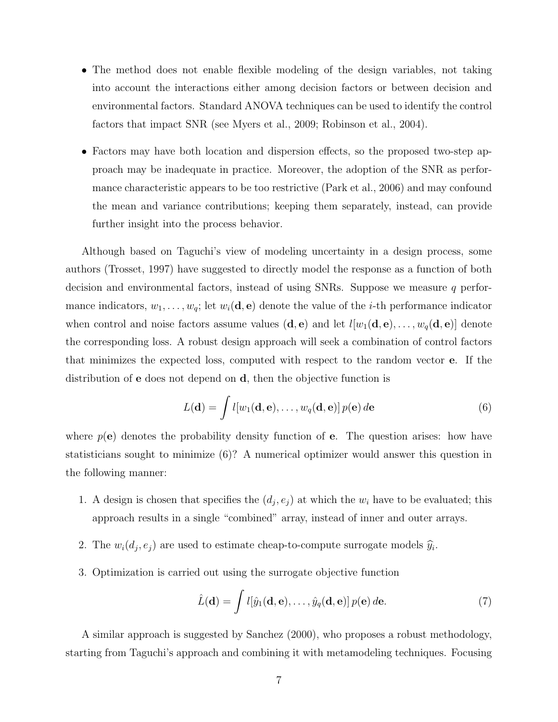- The method does not enable flexible modeling of the design variables, not taking into account the interactions either among decision factors or between decision and environmental factors. Standard ANOVA techniques can be used to identify the control factors that impact SNR (see Myers et al., 2009; Robinson et al., 2004).
- Factors may have both location and dispersion effects, so the proposed two-step approach may be inadequate in practice. Moreover, the adoption of the SNR as performance characteristic appears to be too restrictive (Park et al., 2006) and may confound the mean and variance contributions; keeping them separately, instead, can provide further insight into the process behavior.

Although based on Taguchi's view of modeling uncertainty in a design process, some authors (Trosset, 1997) have suggested to directly model the response as a function of both decision and environmental factors, instead of using SNRs. Suppose we measure  $q$  performance indicators,  $w_1, \ldots, w_q$ ; let  $w_i(\mathbf{d}, \mathbf{e})$  denote the value of the *i*-th performance indicator when control and noise factors assume values  $(d, e)$  and let  $l[w_1(d, e), \ldots, w_q(d, e)]$  denote the corresponding loss. A robust design approach will seek a combination of control factors that minimizes the expected loss, computed with respect to the random vector e. If the distribution of e does not depend on d, then the objective function is

$$
L(\mathbf{d}) = \int l[w_1(\mathbf{d}, \mathbf{e}), \dots, w_q(\mathbf{d}, \mathbf{e})] p(\mathbf{e}) d\mathbf{e}
$$
 (6)

where  $p(e)$  denotes the probability density function of e. The question arises: how have statisticians sought to minimize (6)? A numerical optimizer would answer this question in the following manner:

- 1. A design is chosen that specifies the  $(d_j, e_j)$  at which the  $w_i$  have to be evaluated; this approach results in a single "combined" array, instead of inner and outer arrays.
- 2. The  $w_i(d_j, e_j)$  are used to estimate cheap-to-compute surrogate models  $\hat{y}_i$ .
- 3. Optimization is carried out using the surrogate objective function

$$
\hat{L}(\mathbf{d}) = \int l[\hat{y}_1(\mathbf{d}, \mathbf{e}), \dots, \hat{y}_q(\mathbf{d}, \mathbf{e})] p(\mathbf{e}) d\mathbf{e}.
$$
 (7)

A similar approach is suggested by Sanchez (2000), who proposes a robust methodology, starting from Taguchi's approach and combining it with metamodeling techniques. Focusing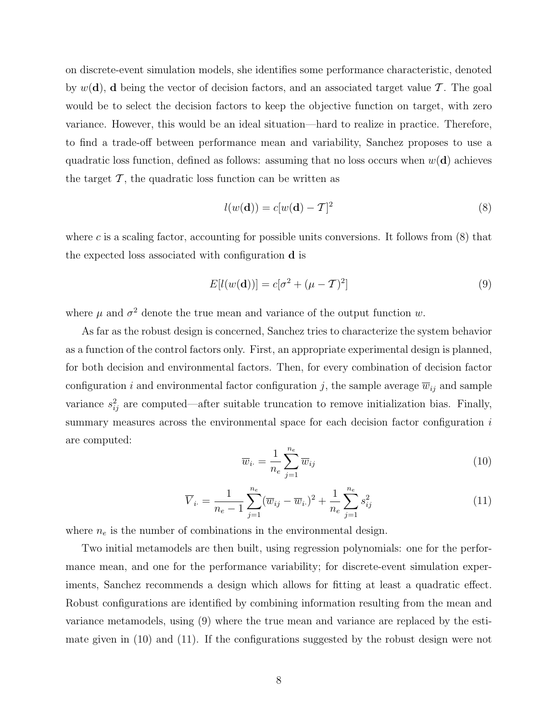on discrete-event simulation models, she identifies some performance characteristic, denoted by  $w(\mathbf{d})$ , **d** being the vector of decision factors, and an associated target value T. The goal would be to select the decision factors to keep the objective function on target, with zero variance. However, this would be an ideal situation—hard to realize in practice. Therefore, to find a trade-off between performance mean and variability, Sanchez proposes to use a quadratic loss function, defined as follows: assuming that no loss occurs when  $w(\mathbf{d})$  achieves the target  $\mathcal T$ , the quadratic loss function can be written as

$$
l(w(\mathbf{d})) = c[w(\mathbf{d}) - \mathcal{T}]^2
$$
\n(8)

where c is a scaling factor, accounting for possible units conversions. It follows from  $(8)$  that the expected loss associated with configuration d is

$$
E[l(w(\mathbf{d}))] = c[\sigma^2 + (\mu - T)^2]
$$
\n(9)

where  $\mu$  and  $\sigma^2$  denote the true mean and variance of the output function w.

As far as the robust design is concerned, Sanchez tries to characterize the system behavior as a function of the control factors only. First, an appropriate experimental design is planned, for both decision and environmental factors. Then, for every combination of decision factor configuration i and environmental factor configuration j, the sample average  $\overline{w}_{ij}$  and sample variance  $s_{ij}^2$  are computed—after suitable truncation to remove initialization bias. Finally, summary measures across the environmental space for each decision factor configuration is are computed:

$$
\overline{w}_{i \cdot} = \frac{1}{n_e} \sum_{j=1}^{n_e} \overline{w}_{ij} \tag{10}
$$

$$
\overline{V}_{i.} = \frac{1}{n_e - 1} \sum_{j=1}^{n_e} (\overline{w}_{ij} - \overline{w}_{i.})^2 + \frac{1}{n_e} \sum_{j=1}^{n_e} s_{ij}^2
$$
\n(11)

where  $n_e$  is the number of combinations in the environmental design.

Two initial metamodels are then built, using regression polynomials: one for the performance mean, and one for the performance variability; for discrete-event simulation experiments, Sanchez recommends a design which allows for fitting at least a quadratic effect. Robust configurations are identified by combining information resulting from the mean and variance metamodels, using (9) where the true mean and variance are replaced by the estimate given in (10) and (11). If the configurations suggested by the robust design were not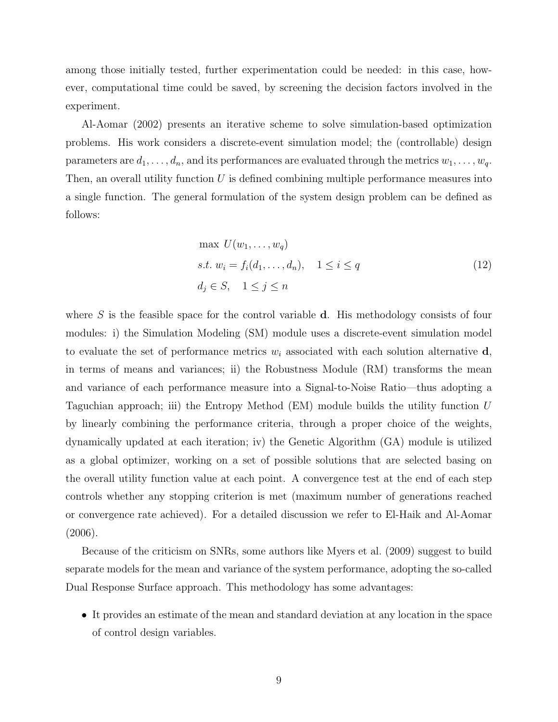among those initially tested, further experimentation could be needed: in this case, however, computational time could be saved, by screening the decision factors involved in the experiment.

Al-Aomar (2002) presents an iterative scheme to solve simulation-based optimization problems. His work considers a discrete-event simulation model; the (controllable) design parameters are  $d_1, \ldots, d_n$ , and its performances are evaluated through the metrics  $w_1, \ldots, w_q$ . Then, an overall utility function  $U$  is defined combining multiple performance measures into a single function. The general formulation of the system design problem can be defined as follows:

$$
\max U(w_1, \dots, w_q)
$$
  
s.t.  $w_i = f_i(d_1, \dots, d_n), \quad 1 \le i \le q$   
 $d_j \in S, \quad 1 \le j \le n$  (12)

where  $S$  is the feasible space for the control variable  $d$ . His methodology consists of four modules: i) the Simulation Modeling (SM) module uses a discrete-event simulation model to evaluate the set of performance metrics  $w_i$  associated with each solution alternative  $\mathbf{d}$ , in terms of means and variances; ii) the Robustness Module (RM) transforms the mean and variance of each performance measure into a Signal-to-Noise Ratio—thus adopting a Taguchian approach; iii) the Entropy Method  $(EM)$  module builds the utility function U by linearly combining the performance criteria, through a proper choice of the weights, dynamically updated at each iteration; iv) the Genetic Algorithm (GA) module is utilized as a global optimizer, working on a set of possible solutions that are selected basing on the overall utility function value at each point. A convergence test at the end of each step controls whether any stopping criterion is met (maximum number of generations reached or convergence rate achieved). For a detailed discussion we refer to El-Haik and Al-Aomar (2006).

Because of the criticism on SNRs, some authors like Myers et al. (2009) suggest to build separate models for the mean and variance of the system performance, adopting the so-called Dual Response Surface approach. This methodology has some advantages:

• It provides an estimate of the mean and standard deviation at any location in the space of control design variables.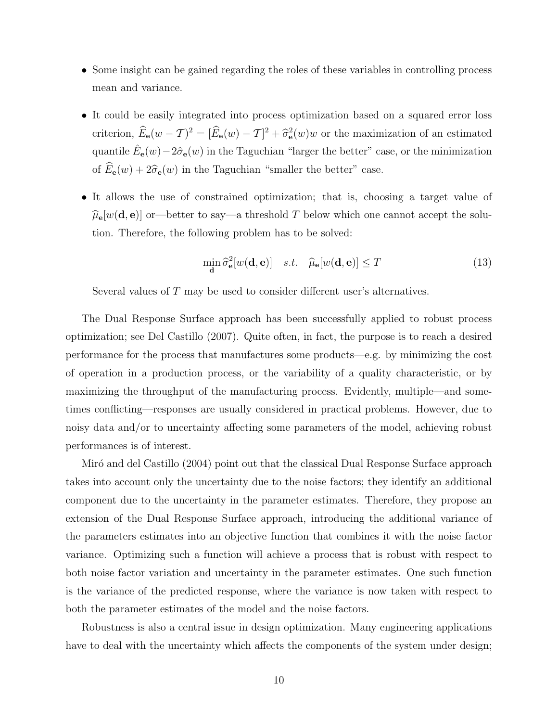- Some insight can be gained regarding the roles of these variables in controlling process mean and variance.
- It could be easily integrated into process optimization based on a squared error loss criterion,  $\hat{E}_{\bf e}(w - T)^2 = [\hat{E}_{\bf e}(w) - T]^2 + \hat{\sigma}_{\bf e}^2(w)w$  or the maximization of an estimated quantile  $\hat{E}_{{\bf e}}(w) - 2\hat{\sigma}_{{\bf e}}(w)$  in the Taguchian "larger the better" case, or the minimization of  $\widehat{E}_{\mathbf{e}}(w) + 2\widehat{\sigma}_{\mathbf{e}}(w)$  in the Taguchian "smaller the better" case.
- It allows the use of constrained optimization; that is, choosing a target value of  $\hat{\mu}_{\mathbf{e}}[w(\mathbf{d}, \mathbf{e})]$  or—better to say—a threshold T below which one cannot accept the solution. Therefore, the following problem has to be solved:

$$
\min_{\mathbf{d}} \hat{\sigma}_{\mathbf{e}}^2[w(\mathbf{d}, \mathbf{e})] \quad s.t. \quad \hat{\mu}_{\mathbf{e}}[w(\mathbf{d}, \mathbf{e})] \le T \tag{13}
$$

Several values of T may be used to consider different user's alternatives.

The Dual Response Surface approach has been successfully applied to robust process optimization; see Del Castillo (2007). Quite often, in fact, the purpose is to reach a desired performance for the process that manufactures some products—e.g. by minimizing the cost of operation in a production process, or the variability of a quality characteristic, or by maximizing the throughput of the manufacturing process. Evidently, multiple—and sometimes conflicting—responses are usually considered in practical problems. However, due to noisy data and/or to uncertainty affecting some parameters of the model, achieving robust performances is of interest.

Miró and del Castillo (2004) point out that the classical Dual Response Surface approach takes into account only the uncertainty due to the noise factors; they identify an additional component due to the uncertainty in the parameter estimates. Therefore, they propose an extension of the Dual Response Surface approach, introducing the additional variance of the parameters estimates into an objective function that combines it with the noise factor variance. Optimizing such a function will achieve a process that is robust with respect to both noise factor variation and uncertainty in the parameter estimates. One such function is the variance of the predicted response, where the variance is now taken with respect to both the parameter estimates of the model and the noise factors.

Robustness is also a central issue in design optimization. Many engineering applications have to deal with the uncertainty which affects the components of the system under design;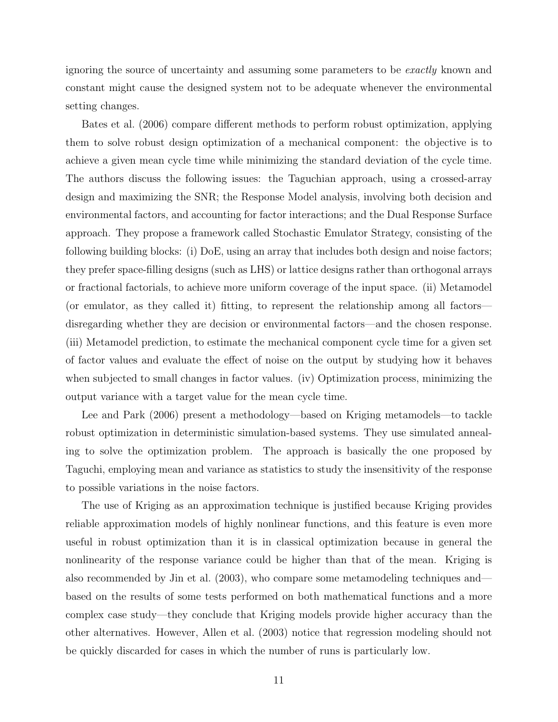ignoring the source of uncertainty and assuming some parameters to be exactly known and constant might cause the designed system not to be adequate whenever the environmental setting changes.

Bates et al. (2006) compare different methods to perform robust optimization, applying them to solve robust design optimization of a mechanical component: the objective is to achieve a given mean cycle time while minimizing the standard deviation of the cycle time. The authors discuss the following issues: the Taguchian approach, using a crossed-array design and maximizing the SNR; the Response Model analysis, involving both decision and environmental factors, and accounting for factor interactions; and the Dual Response Surface approach. They propose a framework called Stochastic Emulator Strategy, consisting of the following building blocks: (i) DoE, using an array that includes both design and noise factors; they prefer space-filling designs (such as LHS) or lattice designs rather than orthogonal arrays or fractional factorials, to achieve more uniform coverage of the input space. (ii) Metamodel (or emulator, as they called it) fitting, to represent the relationship among all factors disregarding whether they are decision or environmental factors—and the chosen response. (iii) Metamodel prediction, to estimate the mechanical component cycle time for a given set of factor values and evaluate the effect of noise on the output by studying how it behaves when subjected to small changes in factor values. (iv) Optimization process, minimizing the output variance with a target value for the mean cycle time.

Lee and Park (2006) present a methodology—based on Kriging metamodels—to tackle robust optimization in deterministic simulation-based systems. They use simulated annealing to solve the optimization problem. The approach is basically the one proposed by Taguchi, employing mean and variance as statistics to study the insensitivity of the response to possible variations in the noise factors.

The use of Kriging as an approximation technique is justified because Kriging provides reliable approximation models of highly nonlinear functions, and this feature is even more useful in robust optimization than it is in classical optimization because in general the nonlinearity of the response variance could be higher than that of the mean. Kriging is also recommended by Jin et al. (2003), who compare some metamodeling techniques and based on the results of some tests performed on both mathematical functions and a more complex case study—they conclude that Kriging models provide higher accuracy than the other alternatives. However, Allen et al. (2003) notice that regression modeling should not be quickly discarded for cases in which the number of runs is particularly low.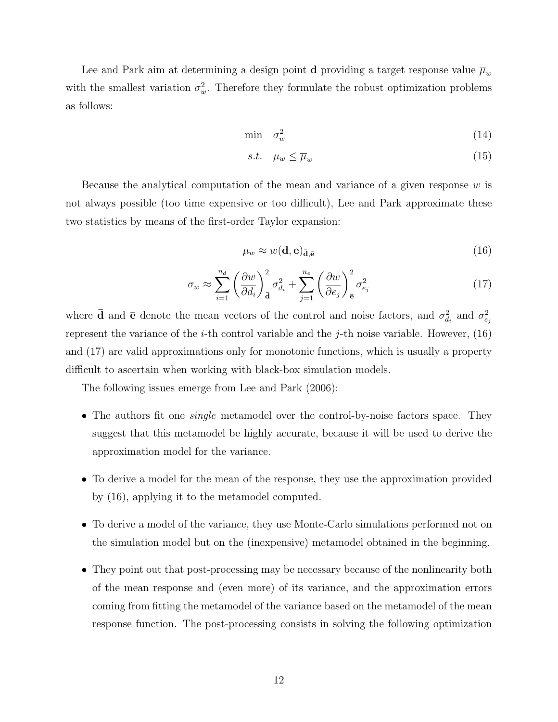Lee and Park aim at determining a design point **d** providing a target response value  $\overline{\mu}_w$ with the smallest variation  $\sigma_w^2$ . Therefore they formulate the robust optimization problems as follows:

$$
\min \quad \sigma_w^2 \tag{14}
$$

$$
s.t. \quad \mu_w \le \overline{\mu}_w \tag{15}
$$

Because the analytical computation of the mean and variance of a given response  $w$  is not always possible (too time expensive or too difficult), Lee and Park approximate these two statistics by means of the first-order Taylor expansion:

$$
\mu_w \approx w(\mathbf{d}, \mathbf{e})_{\bar{\mathbf{d}}, \bar{\mathbf{e}}}
$$
\n(16)

$$
\sigma_w \approx \sum_{i=1}^{n_d} \left(\frac{\partial w}{\partial d_i}\right)_\mathbf{\bar{d}}^2 \sigma_{d_i}^2 + \sum_{j=1}^{n_e} \left(\frac{\partial w}{\partial e_j}\right)_\mathbf{\bar{e}}^2 \sigma_{e_j}^2 \tag{17}
$$

where  $\bar{\mathbf{d}}$  and  $\bar{\mathbf{e}}$  denote the mean vectors of the control and noise factors, and  $\sigma_{d_i}^2$  and  $\sigma_{e_j}^2$ represent the variance of the *i*-th control variable and the *j*-th noise variable. However,  $(16)$ and (17) are valid approximations only for monotonic functions, which is usually a property difficult to ascertain when working with black-box simulation models.

The following issues emerge from Lee and Park (2006):

- The authors fit one *single* metamodel over the control-by-noise factors space. They suggest that this metamodel be highly accurate, because it will be used to derive the approximation model for the variance.
- To derive a model for the mean of the response, they use the approximation provided by (16), applying it to the metamodel computed.
- To derive a model of the variance, they use Monte-Carlo simulations performed not on the simulation model but on the (inexpensive) metamodel obtained in the beginning.
- They point out that post-processing may be necessary because of the nonlinearity both of the mean response and (even more) of its variance, and the approximation errors coming from fitting the metamodel of the variance based on the metamodel of the mean response function. The post-processing consists in solving the following optimization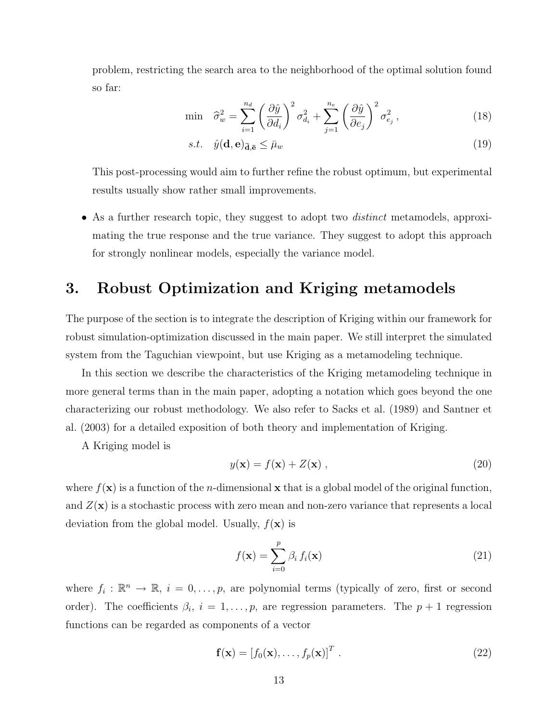problem, restricting the search area to the neighborhood of the optimal solution found so far:

$$
\min \quad \widehat{\sigma}_w^2 = \sum_{i=1}^{n_d} \left(\frac{\partial \widehat{y}}{\partial d_i}\right)^2 \sigma_{d_i}^2 + \sum_{j=1}^{n_e} \left(\frac{\partial \widehat{y}}{\partial e_j}\right)^2 \sigma_{e_j}^2, \tag{18}
$$

$$
s.t. \quad \hat{y}(\mathbf{d}, \mathbf{e})_{\bar{\mathbf{d}}, \bar{\mathbf{e}}} \le \bar{\mu}_w \tag{19}
$$

This post-processing would aim to further refine the robust optimum, but experimental results usually show rather small improvements.

• As a further research topic, they suggest to adopt two *distinct* metamodels, approximating the true response and the true variance. They suggest to adopt this approach for strongly nonlinear models, especially the variance model.

## 3. Robust Optimization and Kriging metamodels

The purpose of the section is to integrate the description of Kriging within our framework for robust simulation-optimization discussed in the main paper. We still interpret the simulated system from the Taguchian viewpoint, but use Kriging as a metamodeling technique.

In this section we describe the characteristics of the Kriging metamodeling technique in more general terms than in the main paper, adopting a notation which goes beyond the one characterizing our robust methodology. We also refer to Sacks et al. (1989) and Santner et al. (2003) for a detailed exposition of both theory and implementation of Kriging.

A Kriging model is

$$
y(\mathbf{x}) = f(\mathbf{x}) + Z(\mathbf{x}), \qquad (20)
$$

where  $f(\mathbf{x})$  is a function of the *n*-dimensional x that is a global model of the original function, and  $Z(\mathbf{x})$  is a stochastic process with zero mean and non-zero variance that represents a local deviation from the global model. Usually,  $f(\mathbf{x})$  is

$$
f(\mathbf{x}) = \sum_{i=0}^{p} \beta_i f_i(\mathbf{x})
$$
\n(21)

where  $f_i: \mathbb{R}^n \to \mathbb{R}, i = 0, \ldots, p$ , are polynomial terms (typically of zero, first or second order). The coefficients  $\beta_i$ ,  $i = 1, \ldots, p$ , are regression parameters. The  $p + 1$  regression functions can be regarded as components of a vector

$$
\mathbf{f}(\mathbf{x}) = [f_0(\mathbf{x}), \dots, f_p(\mathbf{x})]^T
$$
 (22)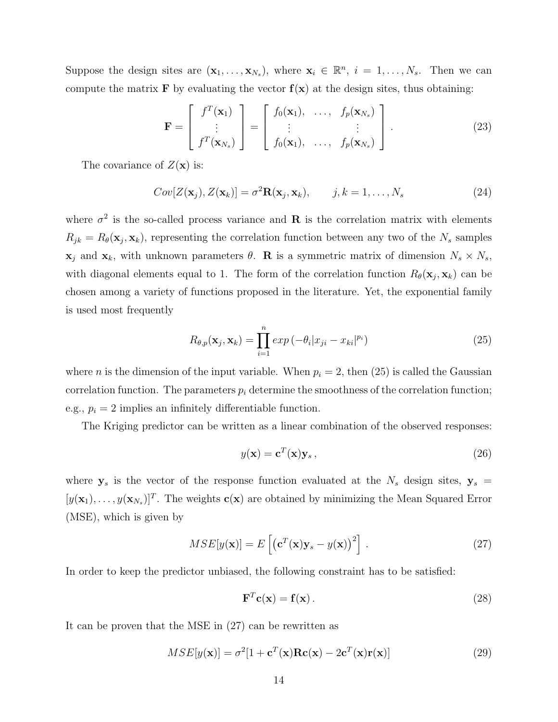Suppose the design sites are  $(\mathbf{x}_1,\ldots,\mathbf{x}_{N_s})$ , where  $\mathbf{x}_i \in \mathbb{R}^n$ ,  $i = 1,\ldots,N_s$ . Then we can compute the matrix **F** by evaluating the vector  $f(x)$  at the design sites, thus obtaining:

$$
\mathbf{F} = \begin{bmatrix} f^T(\mathbf{x}_1) \\ \vdots \\ f^T(\mathbf{x}_{N_s}) \end{bmatrix} = \begin{bmatrix} f_0(\mathbf{x}_1), \ \ldots, \ f_p(\mathbf{x}_{N_s}) \\ \vdots \ \vdots \\ f_0(\mathbf{x}_1), \ \ldots, \ f_p(\mathbf{x}_{N_s}) \end{bmatrix} .
$$
 (23)

The covariance of  $Z(\mathbf{x})$  is:

$$
Cov[Z(\mathbf{x}_j), Z(\mathbf{x}_k)] = \sigma^2 \mathbf{R}(\mathbf{x}_j, \mathbf{x}_k), \qquad j, k = 1, \dots, N_s
$$
 (24)

where  $\sigma^2$  is the so-called process variance and **R** is the correlation matrix with elements  $R_{jk} = R_{\theta}(\mathbf{x}_j, \mathbf{x}_k)$ , representing the correlation function between any two of the  $N_s$  samples  $\mathbf{x}_j$  and  $\mathbf{x}_k$ , with unknown parameters  $\theta$ . **R** is a symmetric matrix of dimension  $N_s \times N_s$ , with diagonal elements equal to 1. The form of the correlation function  $R_{\theta}(\mathbf{x}_j, \mathbf{x}_k)$  can be chosen among a variety of functions proposed in the literature. Yet, the exponential family is used most frequently

$$
R_{\theta,p}(\mathbf{x}_j, \mathbf{x}_k) = \prod_{i=1}^n \exp\left(-\theta_i |x_{ji} - x_{ki}|^{p_i}\right) \tag{25}
$$

where *n* is the dimension of the input variable. When  $p_i = 2$ , then (25) is called the Gaussian correlation function. The parameters  $p_i$  determine the smoothness of the correlation function; e.g.,  $p_i = 2$  implies an infinitely differentiable function.

The Kriging predictor can be written as a linear combination of the observed responses:

$$
y(\mathbf{x}) = \mathbf{c}^T(\mathbf{x})\mathbf{y}_s,\tag{26}
$$

where  $y_s$  is the vector of the response function evaluated at the  $N_s$  design sites,  $y_s$  =  $[y(\mathbf{x}_1), \ldots, y(\mathbf{x}_{N_s})]^T$ . The weights  $\mathbf{c}(\mathbf{x})$  are obtained by minimizing the Mean Squared Error (MSE), which is given by

$$
MSE[y(\mathbf{x})] = E\left[\left(\mathbf{c}^{T}(\mathbf{x})\mathbf{y}_{s} - y(\mathbf{x})\right)^{2}\right].
$$
\n(27)

In order to keep the predictor unbiased, the following constraint has to be satisfied:

$$
\mathbf{F}^T \mathbf{c}(\mathbf{x}) = \mathbf{f}(\mathbf{x}) \,. \tag{28}
$$

It can be proven that the MSE in (27) can be rewritten as

$$
MSE[y(\mathbf{x})] = \sigma^2[1 + \mathbf{c}^T(\mathbf{x})\mathbf{R}\mathbf{c}(\mathbf{x}) - 2\mathbf{c}^T(\mathbf{x})\mathbf{r}(\mathbf{x})]
$$
(29)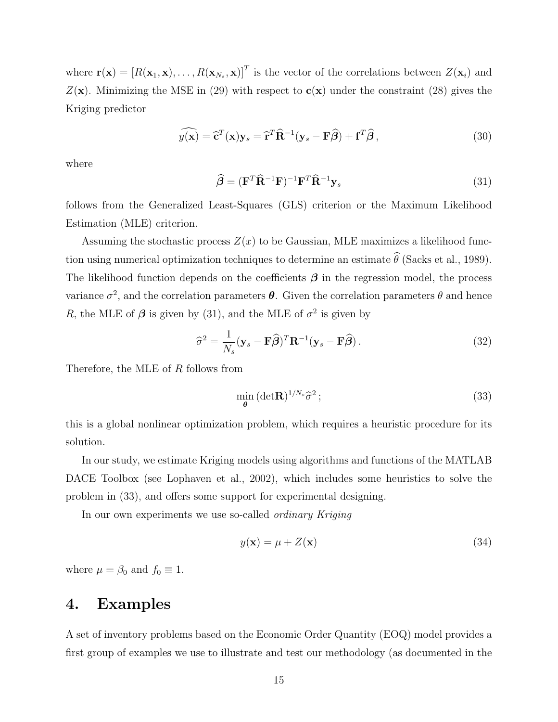where  $\mathbf{r}(\mathbf{x}) = [R(\mathbf{x}_1, \mathbf{x}), \dots, R(\mathbf{x}_{N_s}, \mathbf{x})]^T$  is the vector of the correlations between  $Z(\mathbf{x}_i)$  and  $Z(\mathbf{x})$ . Minimizing the MSE in (29) with respect to  $c(\mathbf{x})$  under the constraint (28) gives the Kriging predictor

$$
\widehat{y(\mathbf{x})} = \widehat{\mathbf{c}}^T(\mathbf{x})\mathbf{y}_s = \widehat{\mathbf{r}}^T \widehat{\mathbf{R}}^{-1} (\mathbf{y}_s - \mathbf{F}\widehat{\boldsymbol{\beta}}) + \mathbf{f}^T \widehat{\boldsymbol{\beta}},
$$
\n(30)

where

$$
\widehat{\boldsymbol{\beta}} = (\mathbf{F}^T \widehat{\mathbf{R}}^{-1} \mathbf{F})^{-1} \mathbf{F}^T \widehat{\mathbf{R}}^{-1} \mathbf{y}_s
$$
\n(31)

follows from the Generalized Least-Squares (GLS) criterion or the Maximum Likelihood Estimation (MLE) criterion.

Assuming the stochastic process  $Z(x)$  to be Gaussian, MLE maximizes a likelihood function using numerical optimization techniques to determine an estimate  $\widehat{\theta}$  (Sacks et al., 1989). The likelihood function depends on the coefficients  $\beta$  in the regression model, the process variance  $\sigma^2$ , and the correlation parameters  $\boldsymbol{\theta}$ . Given the correlation parameters  $\theta$  and hence R, the MLE of  $\beta$  is given by (31), and the MLE of  $\sigma^2$  is given by

$$
\widehat{\sigma}^2 = \frac{1}{N_s} (\mathbf{y}_s - \mathbf{F}\widehat{\boldsymbol{\beta}})^T \mathbf{R}^{-1} (\mathbf{y}_s - \mathbf{F}\widehat{\boldsymbol{\beta}}).
$$
 (32)

Therefore, the MLE of R follows from

$$
\min_{\theta} (\det \mathbf{R})^{1/N_s} \hat{\sigma}^2 ; \tag{33}
$$

this is a global nonlinear optimization problem, which requires a heuristic procedure for its solution.

In our study, we estimate Kriging models using algorithms and functions of the MATLAB DACE Toolbox (see Lophaven et al., 2002), which includes some heuristics to solve the problem in (33), and offers some support for experimental designing.

In our own experiments we use so-called *ordinary Kriging* 

$$
y(\mathbf{x}) = \mu + Z(\mathbf{x})\tag{34}
$$

where  $\mu = \beta_0$  and  $f_0 \equiv 1$ .

## 4. Examples

A set of inventory problems based on the Economic Order Quantity (EOQ) model provides a first group of examples we use to illustrate and test our methodology (as documented in the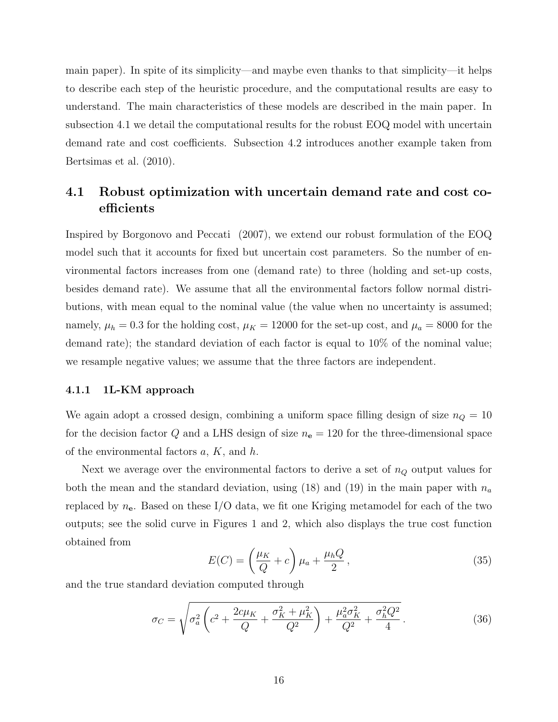main paper). In spite of its simplicity—and maybe even thanks to that simplicity—it helps to describe each step of the heuristic procedure, and the computational results are easy to understand. The main characteristics of these models are described in the main paper. In subsection 4.1 we detail the computational results for the robust EOQ model with uncertain demand rate and cost coefficients. Subsection 4.2 introduces another example taken from Bertsimas et al. (2010).

### 4.1 Robust optimization with uncertain demand rate and cost coefficients

Inspired by Borgonovo and Peccati (2007), we extend our robust formulation of the EOQ model such that it accounts for fixed but uncertain cost parameters. So the number of environmental factors increases from one (demand rate) to three (holding and set-up costs, besides demand rate). We assume that all the environmental factors follow normal distributions, with mean equal to the nominal value (the value when no uncertainty is assumed; namely,  $\mu_h = 0.3$  for the holding cost,  $\mu_K = 12000$  for the set-up cost, and  $\mu_a = 8000$  for the demand rate); the standard deviation of each factor is equal to 10% of the nominal value; we resample negative values; we assume that the three factors are independent.

#### 4.1.1 1L-KM approach

We again adopt a crossed design, combining a uniform space filling design of size  $n_Q = 10$ for the decision factor Q and a LHS design of size  $n_e = 120$  for the three-dimensional space of the environmental factors  $a, K$ , and  $h$ .

Next we average over the environmental factors to derive a set of  $n_Q$  output values for both the mean and the standard deviation, using (18) and (19) in the main paper with  $n_a$ replaced by  $n_e$ . Based on these I/O data, we fit one Kriging metamodel for each of the two outputs; see the solid curve in Figures 1 and 2, which also displays the true cost function obtained from

$$
E(C) = \left(\frac{\mu_K}{Q} + c\right)\mu_a + \frac{\mu_h Q}{2},\tag{35}
$$

and the true standard deviation computed through

$$
\sigma_C = \sqrt{\sigma_a^2 \left( c^2 + \frac{2c\mu_K}{Q} + \frac{\sigma_K^2 + \mu_K^2}{Q^2} \right) + \frac{\mu_a^2 \sigma_K^2}{Q^2} + \frac{\sigma_h^2 Q^2}{4}}.
$$
\n(36)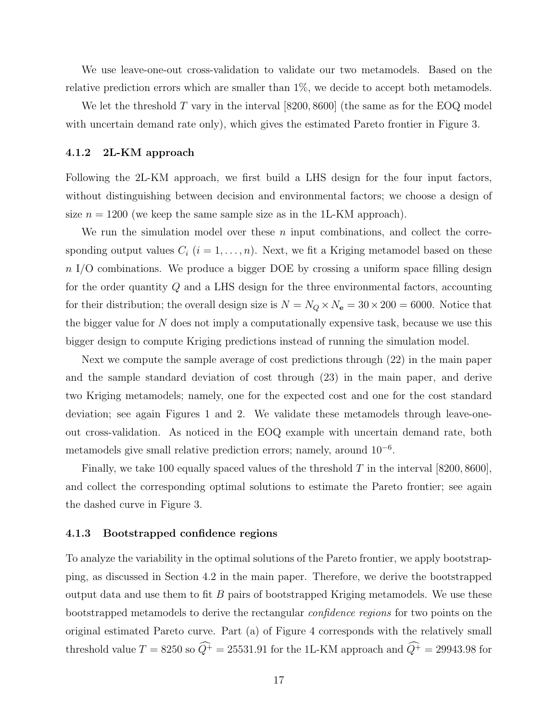We use leave-one-out cross-validation to validate our two metamodels. Based on the relative prediction errors which are smaller than 1%, we decide to accept both metamodels.

We let the threshold  $T$  vary in the interval [8200, 8600] (the same as for the EOQ model with uncertain demand rate only), which gives the estimated Pareto frontier in Figure 3.

#### 4.1.2 2L-KM approach

Following the 2L-KM approach, we first build a LHS design for the four input factors, without distinguishing between decision and environmental factors; we choose a design of size  $n = 1200$  (we keep the same sample size as in the 1L-KM approach).

We run the simulation model over these  $n$  input combinations, and collect the corresponding output values  $C_i$   $(i = 1, ..., n)$ . Next, we fit a Kriging metamodel based on these  $n \text{ I/O combinations.}$  We produce a bigger DOE by crossing a uniform space filling design for the order quantity Q and a LHS design for the three environmental factors, accounting for their distribution; the overall design size is  $N = N_Q \times N_e = 30 \times 200 = 6000$ . Notice that the bigger value for  $N$  does not imply a computationally expensive task, because we use this bigger design to compute Kriging predictions instead of running the simulation model.

Next we compute the sample average of cost predictions through (22) in the main paper and the sample standard deviation of cost through (23) in the main paper, and derive two Kriging metamodels; namely, one for the expected cost and one for the cost standard deviation; see again Figures 1 and 2. We validate these metamodels through leave-oneout cross-validation. As noticed in the EOQ example with uncertain demand rate, both metamodels give small relative prediction errors; namely, around 10<sup>−</sup><sup>6</sup> .

Finally, we take 100 equally spaced values of the threshold T in the interval  $[8200, 8600]$ , and collect the corresponding optimal solutions to estimate the Pareto frontier; see again the dashed curve in Figure 3.

#### 4.1.3 Bootstrapped confidence regions

To analyze the variability in the optimal solutions of the Pareto frontier, we apply bootstrapping, as discussed in Section 4.2 in the main paper. Therefore, we derive the bootstrapped output data and use them to fit  $B$  pairs of bootstrapped Kriging metamodels. We use these bootstrapped metamodels to derive the rectangular confidence regions for two points on the original estimated Pareto curve. Part (a) of Figure 4 corresponds with the relatively small threshold value  $T = 8250$  so  $\widehat{Q}^+ = 25531.91$  for the 1L-KM approach and  $\widehat{Q}^+ = 29943.98$  for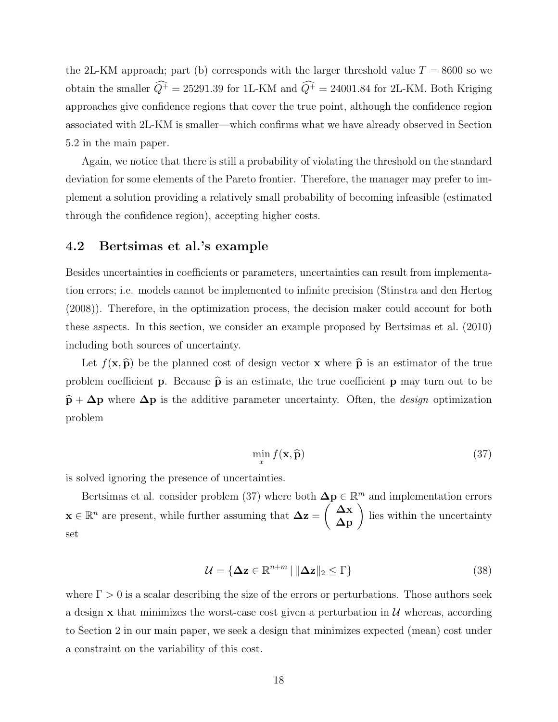the 2L-KM approach; part (b) corresponds with the larger threshold value  $T = 8600$  so we obtain the smaller  $\widehat{Q}^+ = 25291.39$  for 1L-KM and  $\widehat{Q}^+ = 24001.84$  for 2L-KM. Both Kriging approaches give confidence regions that cover the true point, although the confidence region associated with 2L-KM is smaller—which confirms what we have already observed in Section 5.2 in the main paper.

Again, we notice that there is still a probability of violating the threshold on the standard deviation for some elements of the Pareto frontier. Therefore, the manager may prefer to implement a solution providing a relatively small probability of becoming infeasible (estimated through the confidence region), accepting higher costs.

#### 4.2 Bertsimas et al.'s example

Besides uncertainties in coefficients or parameters, uncertainties can result from implementation errors; i.e. models cannot be implemented to infinite precision (Stinstra and den Hertog (2008)). Therefore, in the optimization process, the decision maker could account for both these aspects. In this section, we consider an example proposed by Bertsimas et al. (2010) including both sources of uncertainty.

Let  $f(\mathbf{x}, \hat{\mathbf{p}})$  be the planned cost of design vector x where  $\hat{\mathbf{p}}$  is an estimator of the true problem coefficient **p**. Because  $\hat{\mathbf{p}}$  is an estimate, the true coefficient **p** may turn out to be  $\hat{\mathbf{p}} + \Delta \mathbf{p}$  where  $\Delta \mathbf{p}$  is the additive parameter uncertainty. Often, the *design* optimization problem

$$
\min_{x} f(\mathbf{x}, \widehat{\mathbf{p}}) \tag{37}
$$

is solved ignoring the presence of uncertainties.

Bertsimas et al. consider problem (37) where both  $\Delta p \in \mathbb{R}^m$  and implementation errors  $\mathbf{x} \in \mathbb{R}^n$  are present, while further assuming that  $\Delta z = \begin{pmatrix} \Delta x \\ \Delta p \end{pmatrix}$  lies within the uncertainty set

$$
\mathcal{U} = \{ \Delta \mathbf{z} \in \mathbb{R}^{n+m} \mid \|\Delta \mathbf{z}\|_2 \le \Gamma \}
$$
\n(38)

where  $\Gamma > 0$  is a scalar describing the size of the errors or perturbations. Those authors seek a design  $x$  that minimizes the worst-case cost given a perturbation in  $U$  whereas, according to Section 2 in our main paper, we seek a design that minimizes expected (mean) cost under a constraint on the variability of this cost.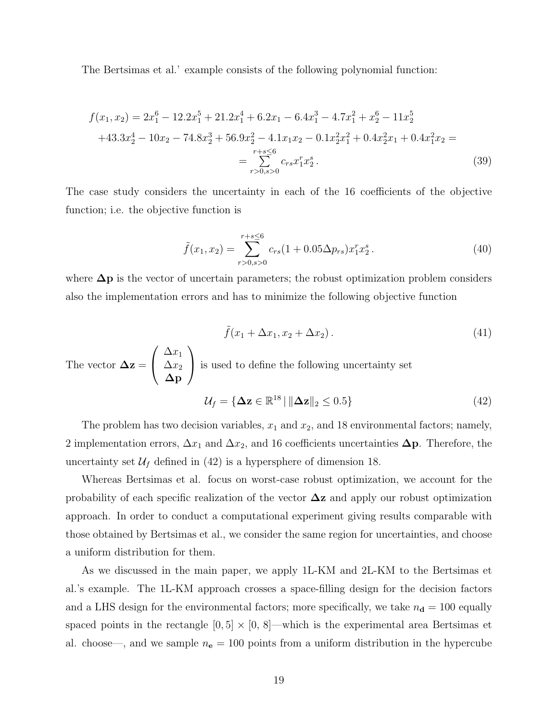The Bertsimas et al.' example consists of the following polynomial function:

$$
f(x_1, x_2) = 2x_1^6 - 12.2x_1^5 + 21.2x_1^4 + 6.2x_1 - 6.4x_1^3 - 4.7x_1^2 + x_2^6 - 11x_2^5
$$
  
+43.3x\_2^4 - 10x\_2 - 74.8x\_2^3 + 56.9x\_2^2 - 4.1x\_1x\_2 - 0.1x\_2^2x\_1^2 + 0.4x\_2^2x\_1 + 0.4x\_1^2x\_2 =  
= 
$$
\sum_{r>0, s>0}^{r+s \le 6} c_{rs} x_1^r x_2^s.
$$
 (39)

The case study considers the uncertainty in each of the 16 coefficients of the objective function; i.e. the objective function is

$$
\tilde{f}(x_1, x_2) = \sum_{r>0, s>0}^{r+s\leq 6} c_{rs} (1+0.05\Delta p_{rs}) x_1^r x_2^s.
$$
\n(40)

where  $\Delta p$  is the vector of uncertain parameters; the robust optimization problem considers also the implementation errors and has to minimize the following objective function

$$
\tilde{f}(x_1 + \Delta x_1, x_2 + \Delta x_2). \tag{41}
$$

The vector 
$$
\Delta z = \begin{pmatrix} \Delta x_1 \\ \Delta x_2 \\ \Delta p \end{pmatrix}
$$
 is used to define the following uncertainty set  
\n
$$
\mathcal{U}_f = \{ \Delta z \in \mathbb{R}^{18} \mid ||\Delta z||_2 \le 0.5 \}
$$
\n(42)

The problem has two decision variables,  $x_1$  and  $x_2$ , and 18 environmental factors; namely, 2 implementation errors,  $\Delta x_1$  and  $\Delta x_2$ , and 16 coefficients uncertainties  $\Delta p$ . Therefore, the uncertainty set  $\mathcal{U}_f$  defined in (42) is a hypersphere of dimension 18.

Whereas Bertsimas et al. focus on worst-case robust optimization, we account for the probability of each specific realization of the vector  $\Delta z$  and apply our robust optimization approach. In order to conduct a computational experiment giving results comparable with those obtained by Bertsimas et al., we consider the same region for uncertainties, and choose a uniform distribution for them.

As we discussed in the main paper, we apply 1L-KM and 2L-KM to the Bertsimas et al.'s example. The 1L-KM approach crosses a space-filling design for the decision factors and a LHS design for the environmental factors; more specifically, we take  $n_d = 100$  equally spaced points in the rectangle  $[0, 5] \times [0, 8]$ —which is the experimental area Bertsimas et al. choose—, and we sample  $n_e = 100$  points from a uniform distribution in the hypercube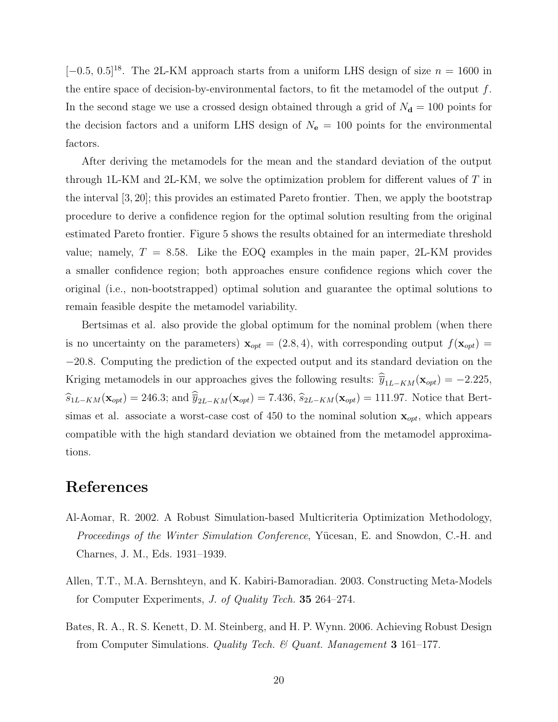[−0.5, 0.5]<sup>18</sup>. The 2L-KM approach starts from a uniform LHS design of size  $n = 1600$  in the entire space of decision-by-environmental factors, to fit the metamodel of the output  $f$ . In the second stage we use a crossed design obtained through a grid of  $N_{\rm d} = 100$  points for the decision factors and a uniform LHS design of  $N_e = 100$  points for the environmental factors.

After deriving the metamodels for the mean and the standard deviation of the output through 1L-KM and 2L-KM, we solve the optimization problem for different values of  $T$  in the interval [3, 20]; this provides an estimated Pareto frontier. Then, we apply the bootstrap procedure to derive a confidence region for the optimal solution resulting from the original estimated Pareto frontier. Figure 5 shows the results obtained for an intermediate threshold value; namely,  $T = 8.58$ . Like the EOQ examples in the main paper, 2L-KM provides a smaller confidence region; both approaches ensure confidence regions which cover the original (i.e., non-bootstrapped) optimal solution and guarantee the optimal solutions to remain feasible despite the metamodel variability.

Bertsimas et al. also provide the global optimum for the nominal problem (when there is no uncertainty on the parameters)  $\mathbf{x}_{opt} = (2.8, 4)$ , with corresponding output  $f(\mathbf{x}_{opt}) =$ −20.8. Computing the prediction of the expected output and its standard deviation on the Kriging metamodels in our approaches gives the following results:  $\hat{y}_{1L-KM}(\mathbf{x}_{opt}) = -2.225$ ,  $\widehat{s}_{1L-KM}(\mathbf{x}_{opt}) = 246.3$ ; and  $\widehat{\overline{y}}_{2L-KM}(\mathbf{x}_{opt}) = 7.436$ ,  $\widehat{s}_{2L-KM}(\mathbf{x}_{opt}) = 111.97$ . Notice that Bertsimas et al. associate a worst-case cost of 450 to the nominal solution  $\mathbf{x}_{opt}$ , which appears compatible with the high standard deviation we obtained from the metamodel approximations.

### References

- Al-Aomar, R. 2002. A Robust Simulation-based Multicriteria Optimization Methodology, Proceedings of the Winter Simulation Conference, Yücesan, E. and Snowdon, C.-H. and Charnes, J. M., Eds. 1931–1939.
- Allen, T.T., M.A. Bernshteyn, and K. Kabiri-Bamoradian. 2003. Constructing Meta-Models for Computer Experiments, J. of Quality Tech. 35 264–274.
- Bates, R. A., R. S. Kenett, D. M. Steinberg, and H. P. Wynn. 2006. Achieving Robust Design from Computer Simulations. Quality Tech. & Quant. Management 3 161–177.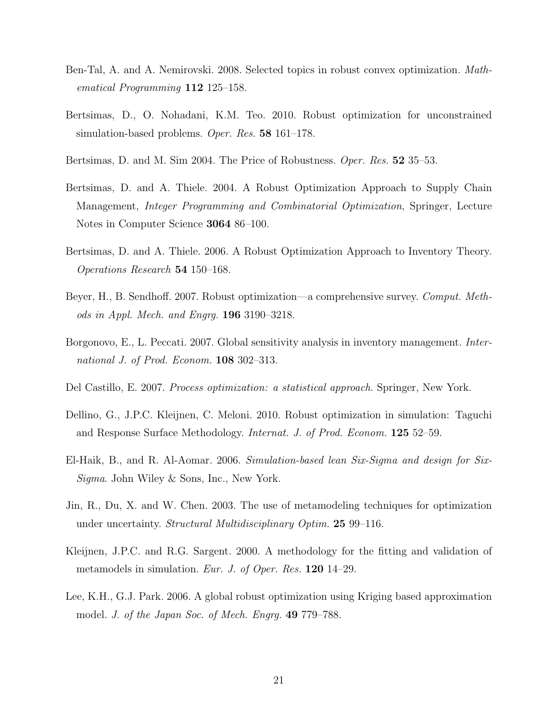- Ben-Tal, A. and A. Nemirovski. 2008. Selected topics in robust convex optimization. Mathematical Programming 112 125–158.
- Bertsimas, D., O. Nohadani, K.M. Teo. 2010. Robust optimization for unconstrained simulation-based problems. *Oper. Res.* **58** 161–178.
- Bertsimas, D. and M. Sim 2004. The Price of Robustness. Oper. Res. 52 35–53.
- Bertsimas, D. and A. Thiele. 2004. A Robust Optimization Approach to Supply Chain Management, Integer Programming and Combinatorial Optimization, Springer, Lecture Notes in Computer Science 3064 86–100.
- Bertsimas, D. and A. Thiele. 2006. A Robust Optimization Approach to Inventory Theory. Operations Research 54 150–168.
- Beyer, H., B. Sendhoff. 2007. Robust optimization—a comprehensive survey. Comput. Methods in Appl. Mech. and Engrg. 196 3190–3218.
- Borgonovo, E., L. Peccati. 2007. Global sensitivity analysis in inventory management. *Inter*national J. of Prod. Econom. **108** 302–313.
- Del Castillo, E. 2007. Process optimization: a statistical approach. Springer, New York.
- Dellino, G., J.P.C. Kleijnen, C. Meloni. 2010. Robust optimization in simulation: Taguchi and Response Surface Methodology. Internat. J. of Prod. Econom. 125 52–59.
- El-Haik, B., and R. Al-Aomar. 2006. Simulation-based lean Six-Sigma and design for Six-Sigma. John Wiley & Sons, Inc., New York.
- Jin, R., Du, X. and W. Chen. 2003. The use of metamodeling techniques for optimization under uncertainty. *Structural Multidisciplinary Optim.* **25** 99–116.
- Kleijnen, J.P.C. and R.G. Sargent. 2000. A methodology for the fitting and validation of metamodels in simulation. *Eur. J. of Oper. Res.* **120** 14–29.
- Lee, K.H., G.J. Park. 2006. A global robust optimization using Kriging based approximation model. J. of the Japan Soc. of Mech. Engrg. 49 779–788.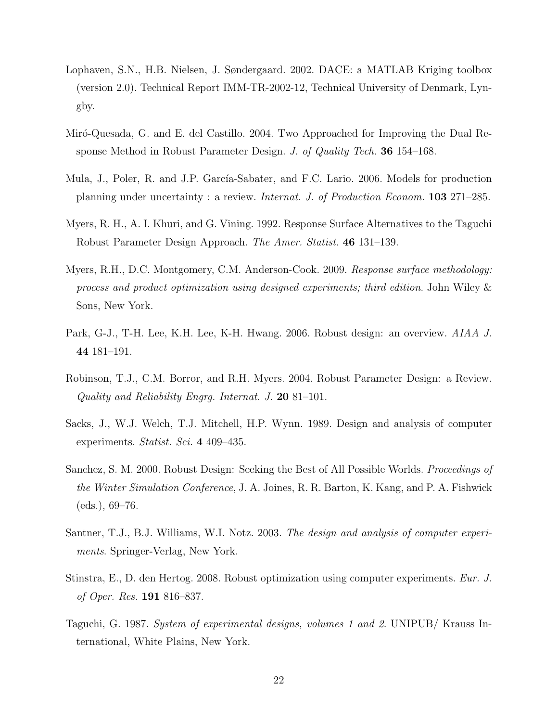- Lophaven, S.N., H.B. Nielsen, J. Søndergaard. 2002. DACE: a MATLAB Kriging toolbox (version 2.0). Technical Report IMM-TR-2002-12, Technical University of Denmark, Lyngby.
- Miró-Quesada, G. and E. del Castillo. 2004. Two Approached for Improving the Dual Response Method in Robust Parameter Design. J. of Quality Tech. 36 154–168.
- Mula, J., Poler, R. and J.P. García-Sabater, and F.C. Lario. 2006. Models for production planning under uncertainty : a review. Internat. J. of Production Econom. 103 271–285.
- Myers, R. H., A. I. Khuri, and G. Vining. 1992. Response Surface Alternatives to the Taguchi Robust Parameter Design Approach. The Amer. Statist. 46 131–139.
- Myers, R.H., D.C. Montgomery, C.M. Anderson-Cook. 2009. Response surface methodology: process and product optimization using designed experiments; third edition. John Wiley & Sons, New York.
- Park, G-J., T-H. Lee, K.H. Lee, K-H. Hwang. 2006. Robust design: an overview. AIAA J. 44 181–191.
- Robinson, T.J., C.M. Borror, and R.H. Myers. 2004. Robust Parameter Design: a Review. Quality and Reliability Engrg. Internat. J. 20 81–101.
- Sacks, J., W.J. Welch, T.J. Mitchell, H.P. Wynn. 1989. Design and analysis of computer experiments. Statist. Sci. 4 409–435.
- Sanchez, S. M. 2000. Robust Design: Seeking the Best of All Possible Worlds. Proceedings of the Winter Simulation Conference, J. A. Joines, R. R. Barton, K. Kang, and P. A. Fishwick (eds.), 69–76.
- Santner, T.J., B.J. Williams, W.I. Notz. 2003. The design and analysis of computer experiments. Springer-Verlag, New York.
- Stinstra, E., D. den Hertog. 2008. Robust optimization using computer experiments. Eur. J. of Oper. Res. 191 816–837.
- Taguchi, G. 1987. System of experimental designs, volumes 1 and 2. UNIPUB/ Krauss International, White Plains, New York.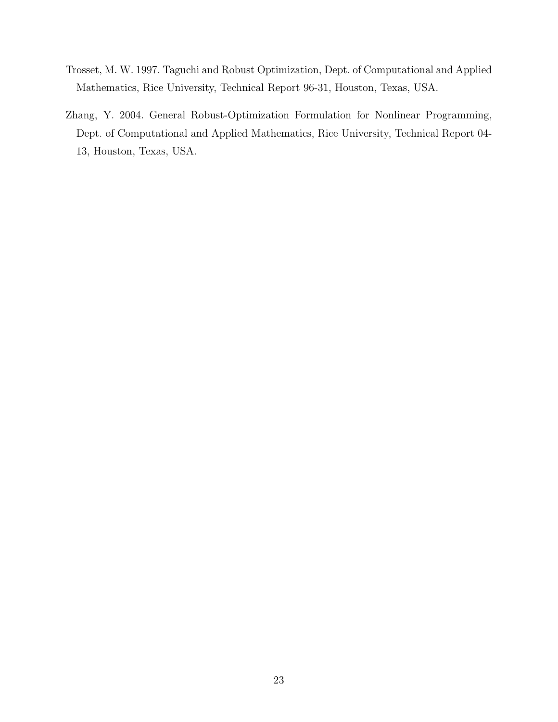- Trosset, M. W. 1997. Taguchi and Robust Optimization, Dept. of Computational and Applied Mathematics, Rice University, Technical Report 96-31, Houston, Texas, USA.
- Zhang, Y. 2004. General Robust-Optimization Formulation for Nonlinear Programming, Dept. of Computational and Applied Mathematics, Rice University, Technical Report 04- 13, Houston, Texas, USA.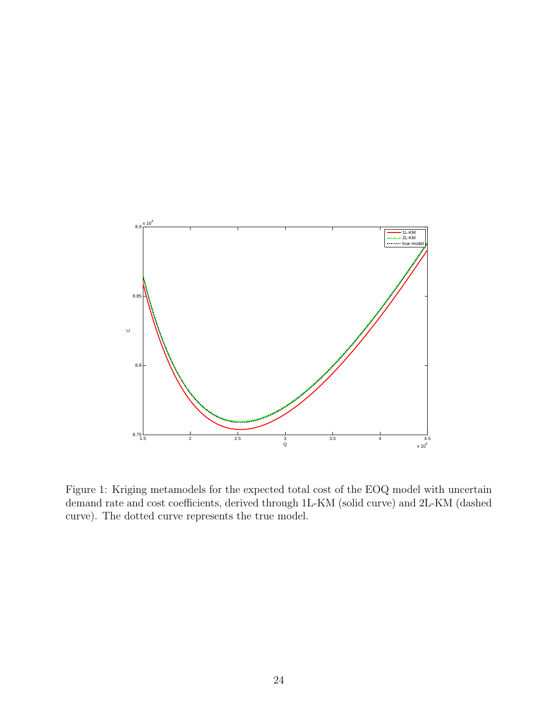

Figure 1: Kriging metamodels for the expected total cost of the EOQ model with uncertain demand rate and cost coefficients, derived through 1L-KM (solid curve) and 2L-KM (dashed curve). The dotted curve represents the true model.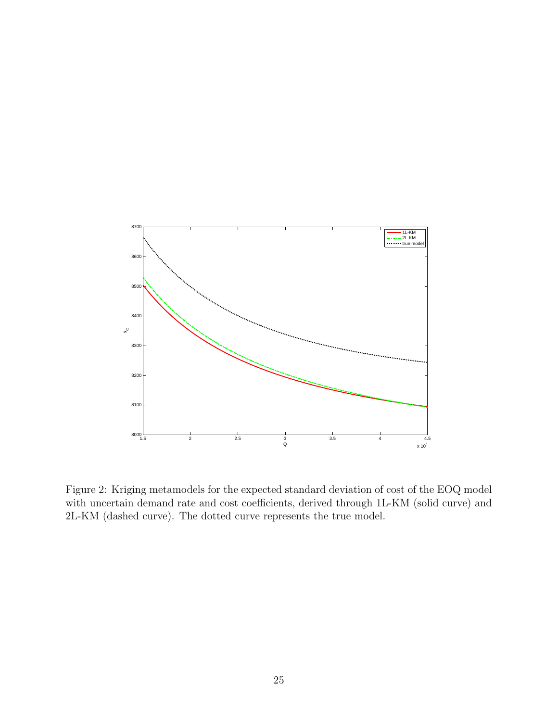

Figure 2: Kriging metamodels for the expected standard deviation of cost of the EOQ model with uncertain demand rate and cost coefficients, derived through 1L-KM (solid curve) and 2L-KM (dashed curve). The dotted curve represents the true model.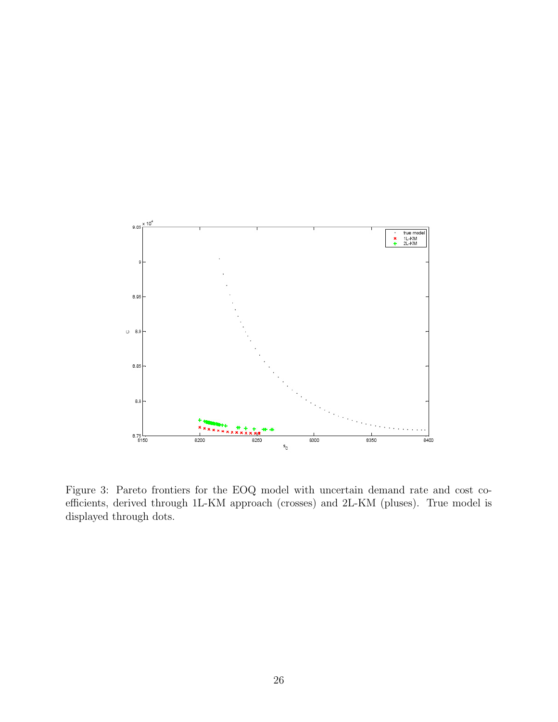

Figure 3: Pareto frontiers for the EOQ model with uncertain demand rate and cost coefficients, derived through 1L-KM approach (crosses) and 2L-KM (pluses). True model is displayed through dots.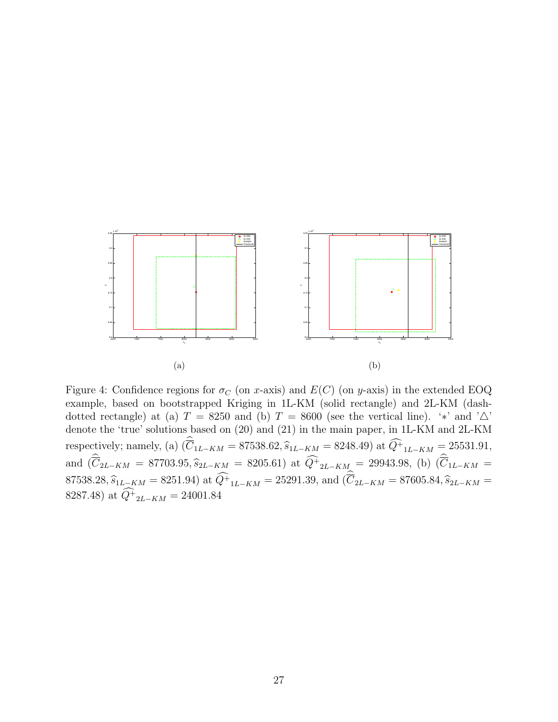

Figure 4: Confidence regions for  $\sigma_C$  (on x-axis) and  $E(C)$  (on y-axis) in the extended EOQ example, based on bootstrapped Kriging in 1L-KM (solid rectangle) and 2L-KM (dashdotted rectangle) at (a)  $T = 8250$  and (b)  $T = 8600$  (see the vertical line). '\*' and ' $\Delta$ ' denote the 'true' solutions based on (20) and (21) in the main paper, in 1L-KM and 2L-KM respectively; namely, (a)  $(\overline{C}_{1L-KM} = 87538.62, \hat{s}_{1L-KM} = 8248.49)$  at  $Q^+{}_{1L-KM} = 25531.91$ , and  $(\overline{C}_{2L-KM} = 87703.95, \hat{s}_{2L-KM} = 8205.61)$  at  $Q^+{}_{2L-KM} = 29943.98$ , (b)  $(\overline{C}_{1L-KM} =$ 87538.28,  $\widehat{s}_{1L-KM} = 8251.94$ ) at  $Q^+_{1L-KM} = 25291.39$ , and  $(\overline{C}_{2L-KM} = 87605.84, \widehat{s}_{2L-KM} = 8987.48$ 8287.48) at  $Q_{2L-KM}^{+} = 24001.84$